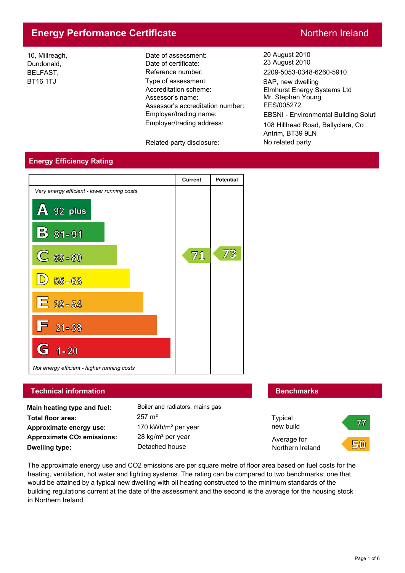# **Energy Performance Certificate** Northern Ireland

10, Millreagh, Dundonald, BELFAST, BT16 1TJ

Employer/trading address: Employer/trading name: Assessor's accreditation number: Assessor's name: Accreditation scheme: Date of assessment: Date of certificate: Reference number: Type of assessment: SAP, new dwelling

Related party disclosure: No related party

20 August 2010 23 August 2010 2209-5053-0348-6260-5910

Mr. Stephen Young EES/005272 Elmhurst Energy Systems Ltd

EBSNI - Environmental Building Soluti

108 Hillhead Road, Ballyclare, Co Antrim, BT39 9LN

# **Energy Efficiency Rating**



# **Technical information Benchmarks Benchmarks**

**Main heating type and fuel:** Boiler and radiators, mains gas **Total floor area:** 257 m² **Approximate energy use: Approximate CO2 emissions: Dwelling type:** Detached house

170 kWh/m² per year 28 kg/m² per year



The approximate energy use and CO2 emissions are per square metre of floor area based on fuel costs for the heating, ventilation, hot water and lighting systems. The rating can be compared to two benchmarks: one that would be attained by a typical new dwelling with oil heating constructed to the minimum standards of the building regulations current at the date of the assessment and the second is the average for the housing stock in Northern Ireland.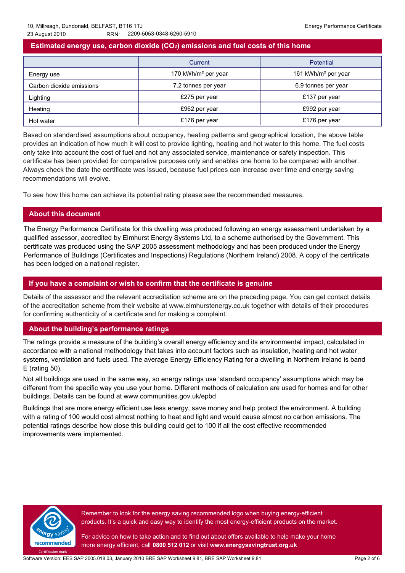# **Estimated energy use, carbon dioxide (CO2) emissions and fuel costs of this home**

|                          | Current                         | Potential                       |
|--------------------------|---------------------------------|---------------------------------|
| Energy use               | 170 kWh/m <sup>2</sup> per year | 161 kWh/m <sup>2</sup> per year |
| Carbon dioxide emissions | 7.2 tonnes per year             | 6.9 tonnes per year             |
| Lighting                 | £275 per year                   | £137 per year                   |
| Heating                  | £962 per year                   | £992 per year                   |
| Hot water                | £176 per year                   | £176 per year                   |

Based on standardised assumptions about occupancy, heating patterns and geographical location, the above table provides an indication of how much it will cost to provide lighting, heating and hot water to this home. The fuel costs only take into account the cost of fuel and not any associated service, maintenance or safety inspection. This certificate has been provided for comparative purposes only and enables one home to be compared with another. Always check the date the certificate was issued, because fuel prices can increase over time and energy saving recommendations will evolve.

To see how this home can achieve its potential rating please see the recommended measures.

# **About this document**

The Energy Performance Certificate for this dwelling was produced following an energy assessment undertaken by a qualified assessor, accredited by Elmhurst Energy Systems Ltd, to a scheme authorised by the Government. This certificate was produced using the SAP 2005 assessment methodology and has been produced under the Energy Performance of Buildings (Certificates and Inspections) Regulations (Northern Ireland) 2008. A copy of the certificate has been lodged on a national register.

### **If you have a complaint or wish to confirm that the certificate is genuine**

Details of the assessor and the relevant accreditation scheme are on the preceding page. You can get contact details of the accreditation scheme from their website at www.elmhurstenergy.co.uk together with details of their procedures for confirming authenticity of a certificate and for making a complaint.

### **About the building's performance ratings**

The ratings provide a measure of the building's overall energy efficiency and its environmental impact, calculated in accordance with a national methodology that takes into account factors such as insulation, heating and hot water systems, ventilation and fuels used. The average Energy Efficiency Rating for a dwelling in Northern Ireland is band E (rating 50).

Not all buildings are used in the same way, so energy ratings use 'standard occupancy' assumptions which may be different from the specific way you use your home. Different methods of calculation are used for homes and for other buildings. Details can be found at www.communities.gov.uk/epbd

Buildings that are more energy efficient use less energy, save money and help protect the environment. A building with a rating of 100 would cost almost nothing to heat and light and would cause almost no carbon emissions. The potential ratings describe how close this building could get to 100 if all the cost effective recommended improvements were implemented.



Remember to look for the energy saving recommended logo when buying energy-efficient products. It's a quick and easy way to identify the most energy-efficient products on the market.

For advice on how to take action and to find out about offers available to help make your home more energy efficient, call **0800 512 012** or visit **www.energysavingtrust.org.uk**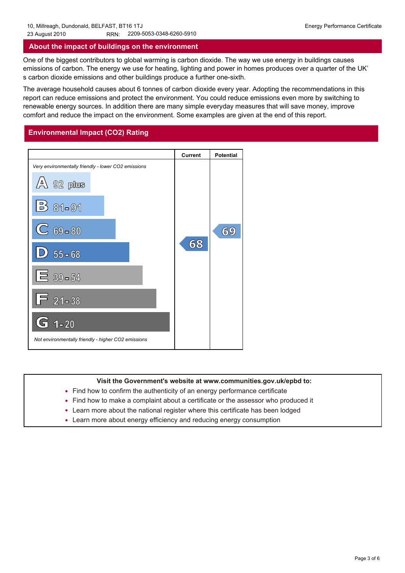### **About the impact of buildings on the environment**

One of the biggest contributors to global warming is carbon dioxide. The way we use energy in buildings causes emissions of carbon. The energy we use for heating, lighting and power in homes produces over a quarter of the UK' s carbon dioxide emissions and other buildings produce a further one-sixth.

The average household causes about 6 tonnes of carbon dioxide every year. Adopting the recommendations in this report can reduce emissions and protect the environment. You could reduce emissions even more by switching to renewable energy sources. In addition there are many simple everyday measures that will save money, improve comfort and reduce the impact on the environment. Some examples are given at the end of this report.

# **Environmental Impact (CO2) Rating**



### **Visit the Government's website at www.communities.gov.uk/epbd to:**

- Find how to confirm the authenticity of an energy performance certificate
- Find how to make a complaint about a certificate or the assessor who produced it Ind how to confirm the authenticity of an energy performance certification Find how to make a complaint about a certificate or the assessor who position and reducing energy consumption in the about energy efficiency and re • Find how to make
- Learn more about the national register where this certificate has been lodged •
- Learn more about energy efficiency and reducing energy consumption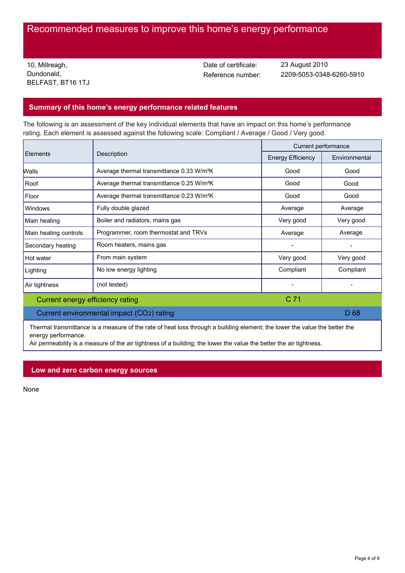# Recommended measures to improve this home's energy performance

10, Millreagh, Dundonald, BELFAST, BT16 1TJ Date of certificate:

Reference number: 2209-5053-0348-6260-5910 23 August 2010

# **Summary of this home's energy performance related features**

The following is an assessment of the key individual elements that have an impact on this home's performance rating. Each element is assessed against the following scale: Compliant / Average / Good / Very good.

|                                           |                                                       | Current performance      |                 |
|-------------------------------------------|-------------------------------------------------------|--------------------------|-----------------|
| <b>Elements</b>                           | Description                                           | <b>Energy Efficiency</b> | Environmental   |
| <b>Walls</b>                              | Average thermal transmittance 0.33 W/m <sup>2</sup> K | Good                     | Good            |
| Roof                                      | Average thermal transmittance 0.25 W/m <sup>2</sup> K |                          | Good            |
| Floor                                     | Average thermal transmittance 0.23 W/m <sup>2</sup> K | Good                     | Good            |
| Windows                                   | Fully double glazed                                   | Average                  | Average         |
| Main heating                              | Boiler and radiators, mains gas                       | Very good                | Very good       |
| Main heating controls                     | Programmer, room thermostat and TRVs                  | Average                  | Average         |
| Secondary heating                         | Room heaters, mains gas                               |                          |                 |
| Hot water                                 | From main system                                      | Very good                | Very good       |
| Lighting                                  | No low energy lighting                                | Compliant                | Compliant       |
| Air tightness                             | (not tested)                                          |                          |                 |
| C 71<br>Current energy efficiency rating  |                                                       |                          |                 |
| Current environmental impact (CO2) rating |                                                       |                          | D <sub>68</sub> |

Thermal transmittance is a measure of the rate of heat loss through a building element; the lower the value the better the energy performance.

Air permeability is a measure of the air tightness of a building; the lower the value the better the air tightness.

### **Low and zero carbon energy sources**

None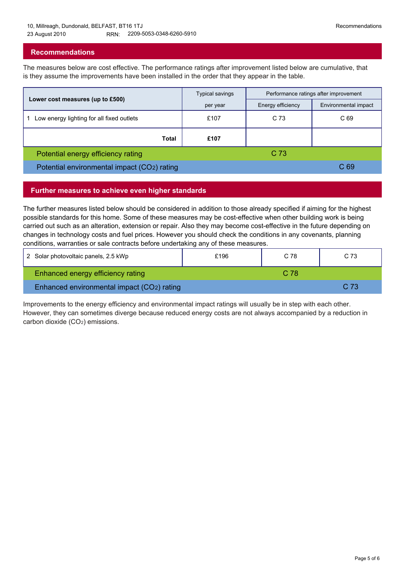# **Recommendations**

The measures below are cost effective. The performance ratings after improvement listed below are cumulative, that is they assume the improvements have been installed in the order that they appear in the table.

|                                             | Typical savings | Performance ratings after improvement |                      |
|---------------------------------------------|-----------------|---------------------------------------|----------------------|
| Lower cost measures (up to £500)            | per year        | Energy efficiency                     | Environmental impact |
| Low energy lighting for all fixed outlets   | £107            | C <sub>73</sub>                       | C <sub>69</sub>      |
| <b>Total</b>                                | £107            |                                       |                      |
| Potential energy efficiency rating          |                 | C <sub>73</sub>                       |                      |
| Potential environmental impact (CO2) rating |                 | C <sub>69</sub>                       |                      |

### **Further measures to achieve even higher standards**

The further measures listed below should be considered in addition to those already specified if aiming for the highest possible standards for this home. Some of these measures may be cost-effective when other building work is being carried out such as an alteration, extension or repair. Also they may become cost-effective in the future depending on changes in technology costs and fuel prices. However you should check the conditions in any covenants, planning conditions, warranties or sale contracts before undertaking any of these measures.

| 2 Solar photovoltaic panels, 2.5 kWp       | £196 | C 78 | C 73 |
|--------------------------------------------|------|------|------|
| Enhanced energy efficiency rating          |      | C 78 |      |
| Enhanced environmental impact (CO2) rating |      |      | C 73 |

Improvements to the energy efficiency and environmental impact ratings will usually be in step with each other. However, they can sometimes diverge because reduced energy costs are not always accompanied by a reduction in carbon dioxide (CO2) emissions.